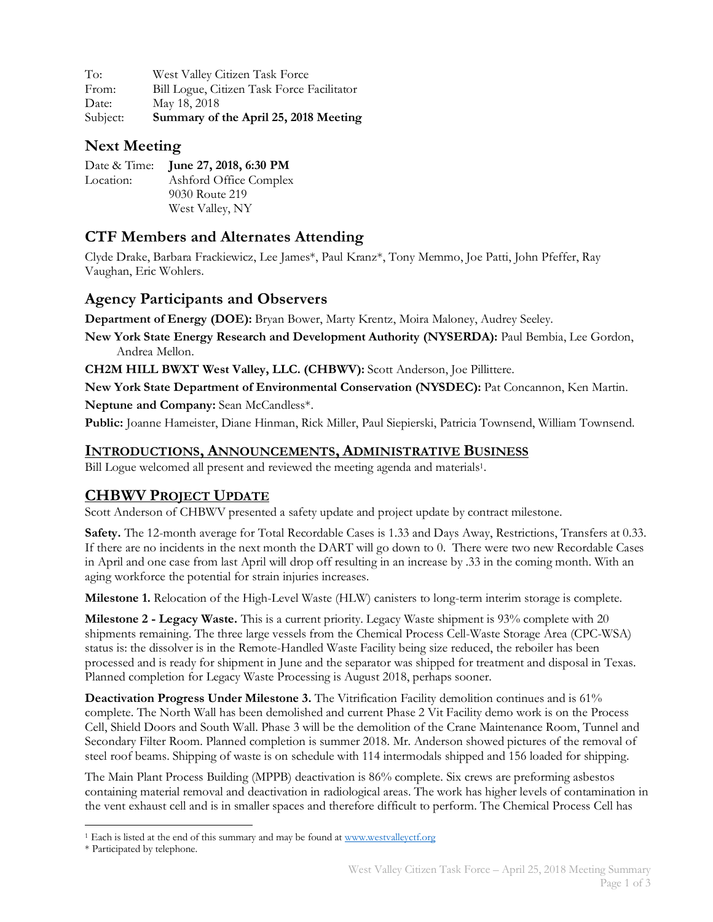| To:      | West Valley Citizen Task Force             |
|----------|--------------------------------------------|
| From:    | Bill Logue, Citizen Task Force Facilitator |
| Date:    | May 18, 2018                               |
| Subject: | Summary of the April 25, 2018 Meeting      |

## **Next Meeting**

|           | Date & Time: June 27, 2018, 6:30 PM |
|-----------|-------------------------------------|
| Location: | Ashford Office Complex              |
|           | 9030 Route 219                      |
|           | West Valley, NY                     |

### **CTF Members and Alternates Attending**

Clyde Drake, Barbara Frackiewicz, Lee James\*, Paul Kranz\*, Tony Memmo, Joe Patti, John Pfeffer, Ray Vaughan, Eric Wohlers.

#### **Agency Participants and Observers**

**Department of Energy (DOE):** Bryan Bower, Marty Krentz, Moira Maloney, Audrey Seeley.

**New York State Energy Research and Development Authority (NYSERDA):** Paul Bembia, Lee Gordon, Andrea Mellon.

**CH2M HILL BWXT West Valley, LLC. (CHBWV):** Scott Anderson, Joe Pillittere.

**New York State Department of Environmental Conservation (NYSDEC):** Pat Concannon, Ken Martin.

**Neptune and Company:** Sean McCandless\*.

**Public:** Joanne Hameister, Diane Hinman, Rick Miller, Paul Siepierski, Patricia Townsend, William Townsend.

#### **INTRODUCTIONS, ANNOUNCEMENTS, ADMINISTRATIVE BUSINESS**

Bill Logue welcomed all present and reviewed the meeting agenda and materials<sup>1</sup>.

#### **CHBWV PROJECT UPDATE**

Scott Anderson of CHBWV presented a safety update and project update by contract milestone.

**Safety.** The 12-month average for Total Recordable Cases is 1.33 and Days Away, Restrictions, Transfers at 0.33. If there are no incidents in the next month the DART will go down to 0. There were two new Recordable Cases in April and one case from last April will drop off resulting in an increase by .33 in the coming month. With an aging workforce the potential for strain injuries increases.

**Milestone 1.** Relocation of the High-Level Waste (HLW) canisters to long-term interim storage is complete.

**Milestone 2 - Legacy Waste.** This is a current priority. Legacy Waste shipment is 93% complete with 20 shipments remaining. The three large vessels from the Chemical Process Cell-Waste Storage Area (CPC-WSA) status is: the dissolver is in the Remote-Handled Waste Facility being size reduced, the reboiler has been processed and is ready for shipment in June and the separator was shipped for treatment and disposal in Texas. Planned completion for Legacy Waste Processing is August 2018, perhaps sooner.

**Deactivation Progress Under Milestone 3.** The Vitrification Facility demolition continues and is 61% complete. The North Wall has been demolished and current Phase 2 Vit Facility demo work is on the Process Cell, Shield Doors and South Wall. Phase 3 will be the demolition of the Crane Maintenance Room, Tunnel and Secondary Filter Room. Planned completion is summer 2018. Mr. Anderson showed pictures of the removal of steel roof beams. Shipping of waste is on schedule with 114 intermodals shipped and 156 loaded for shipping.

The Main Plant Process Building (MPPB) deactivation is 86% complete. Six crews are preforming asbestos containing material removal and deactivation in radiological areas. The work has higher levels of contamination in the vent exhaust cell and is in smaller spaces and therefore difficult to perform. The Chemical Process Cell has

<sup>&</sup>lt;sup>1</sup> Each is listed at the end of this summary and may be found at www.westvalleyctf.org

<sup>\*</sup> Participated by telephone.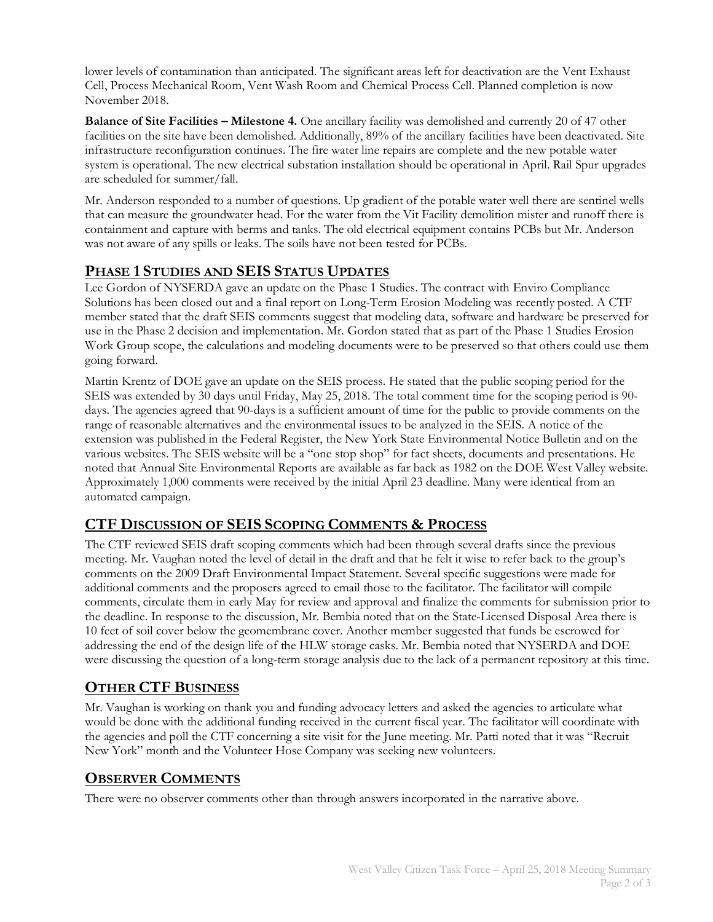lower levels of contamination than anticipated. The significant areas left for deactivation are the Vent Exhaust Cell, Process Mechanical Room, Vent Wash Room and Chemical Process Cell. Planned completion is now November 2018.

**Balance of Site Facilities – Milestone 4.** One ancillary facility was demolished and currently 20 of 47 other facilities on the site have been demolished. Additionally, 89% of the ancillary facilities have been deactivated. Site infrastructure reconfiguration continues. The fire water line repairs are complete and the new potable water system is operational. The new electrical substation installation should be operational in April. Rail Spur upgrades are scheduled for summer/fall.

Mr. Anderson responded to a number of questions. Up gradient of the potable water well there are sentinel wells that can measure the groundwater head. For the water from the Vit Facility demolition mister and runoff there is containment and capture with berms and tanks. The old electrical equipment contains PCBs but Mr. Anderson was not aware of any spills or leaks. The soils have not been tested for PCBs.

#### **PHASE 1 STUDIES AND SEIS STATUS UPDATES**

Lee Gordon of NYSERDA gave an update on the Phase 1 Studies. The contract with Enviro Compliance Solutions has been closed out and a final report on Long-Term Erosion Modeling was recently posted. A CTF member stated that the draft SEIS comments suggest that modeling data, software and hardware be preserved for use in the Phase 2 decision and implementation. Mr. Gordon stated that as part of the Phase 1 Studies Erosion Work Group scope, the calculations and modeling documents were to be preserved so that others could use them going forward.

Martin Krentz of DOE gave an update on the SEIS process. He stated that the public scoping period for the SEIS was extended by 30 days until Friday, May 25, 2018. The total comment time for the scoping period is 90 days. The agencies agreed that 90-days is a sufficient amount of time for the public to provide comments on the range of reasonable alternatives and the environmental issues to be analyzed in the SEIS. A notice of the extension was published in the Federal Register, the New York State Environmental Notice Bulletin and on the various websites. The SEIS website will be a "one stop shop" for fact sheets, documents and presentations. He noted that Annual Site Environmental Reports are available as far back as 1982 on the DOE West Valley website. Approximately 1,000 comments were received by the initial April 23 deadline. Many were identical from an automated campaign.

#### **CTF DISCUSSION OF SEIS SCOPING COMMENTS & PROCESS**

The CTF reviewed SEIS draft scoping comments which had been through several drafts since the previous meeting. Mr. Vaughan noted the level of detail in the draft and that he felt it wise to refer back to the group's comments on the 2009 Draft Environmental Impact Statement. Several specific suggestions were made for additional comments and the proposers agreed to email those to the facilitator. The facilitator will compile comments, circulate them in early May for review and approval and finalize the comments for submission prior to the deadline. In response to the discussion, Mr. Bembia noted that on the State-Licensed Disposal Area there is 10 feet of soil cover below the geomembrane cover. Another member suggested that funds be escrowed for addressing the end of the design life of the HLW storage casks. Mr. Bembia noted that NYSERDA and DOE were discussing the question of a long-term storage analysis due to the lack of a permanent repository at this time.

#### **OTHER CTF BUSINESS**

Mr. Vaughan is working on thank you and funding advocacy letters and asked the agencies to articulate what would be done with the additional funding received in the current fiscal year. The facilitator will coordinate with the agencies and poll the CTF concerning a site visit for the June meeting. Mr. Patti noted that it was "Recruit New York" month and the Volunteer Hose Company was seeking new volunteers.

#### **OBSERVER COMMENTS**

There were no observer comments other than through answers incorporated in the narrative above.